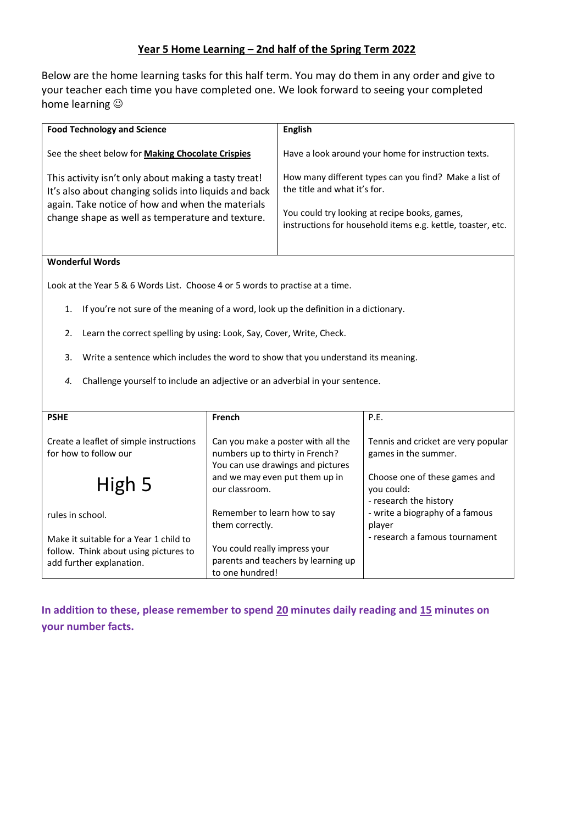### **Year 5 Home Learning – 2nd half of the Spring Term 2022**

Below are the home learning tasks for this half term. You may do them in any order and give to your teacher each time you have completed one. We look forward to seeing your completed home learning  $\circledcirc$ 

| <b>English</b>                                                                                                                                                                                        |
|-------------------------------------------------------------------------------------------------------------------------------------------------------------------------------------------------------|
| Have a look around your home for instruction texts.                                                                                                                                                   |
| How many different types can you find? Make a list of<br>the title and what it's for.<br>You could try looking at recipe books, games,<br>instructions for household items e.g. kettle, toaster, etc. |
|                                                                                                                                                                                                       |

### **Wonderful Words**

Look at the Year 5 & 6 Words List. Choose 4 or 5 words to practise at a time.

- 1. If you're not sure of the meaning of a word, look up the definition in a dictionary.
- 2. Learn the correct spelling by using: Look, Say, Cover, Write, Check.
- 3. Write a sentence which includes the word to show that you understand its meaning.
- *4.* Challenge yourself to include an adjective or an adverbial in your sentence.

| <b>PSHE</b>                                                                                                 | French                                                                                                     | P.E.                                                                  |
|-------------------------------------------------------------------------------------------------------------|------------------------------------------------------------------------------------------------------------|-----------------------------------------------------------------------|
| Create a leaflet of simple instructions<br>for how to follow our                                            | Can you make a poster with all the<br>numbers up to thirty in French?<br>You can use drawings and pictures | Tennis and cricket are very popular<br>games in the summer.           |
| High 5                                                                                                      | and we may even put them up in<br>our classroom.                                                           | Choose one of these games and<br>you could:<br>- research the history |
| rules in school.                                                                                            | Remember to learn how to say<br>them correctly.                                                            | - write a biography of a famous<br>player                             |
| Make it suitable for a Year 1 child to<br>follow. Think about using pictures to<br>add further explanation. | You could really impress your<br>parents and teachers by learning up<br>to one hundred!                    | - research a famous tournament                                        |

**In addition to these, please remember to spend 20 minutes daily reading and 15 minutes on your number facts.**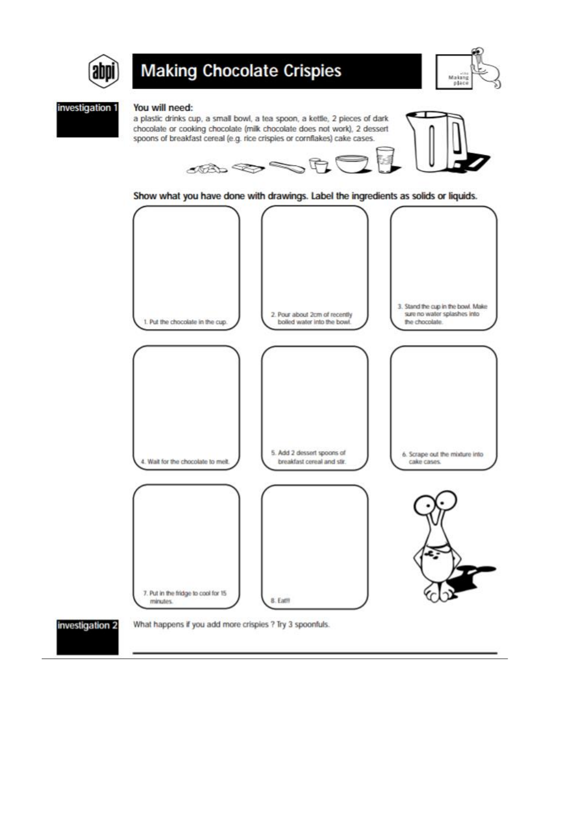

# **Making Chocolate Crispies**



#### investigation 1

#### You will need:





Show what you have done with drawings. Label the ingredients as solids or liquids.